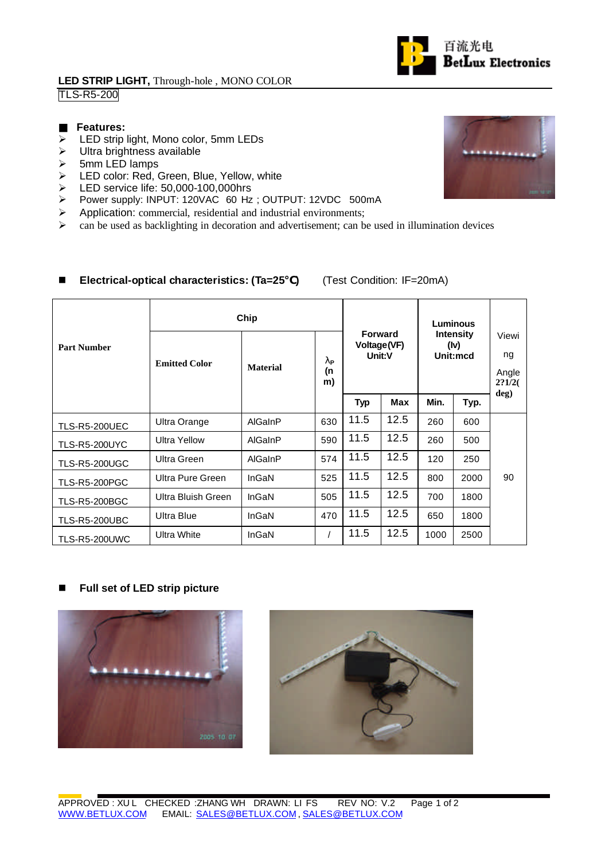## **LED STRIP LIGHT,** Through-hole , MONO COLOR TLS-R5-200

### **Features:**

- $\triangleright$  LED strip light, Mono color, 5mm LEDs
- $\triangleright$  Ultra brightness available
- $\geq$  5mm LED lamps
- ▶ LED color: Red, Green, Blue, Yellow, white
- ED service life: 50,000-100,000hrs<br>
> Power supply: INPUT: 120VAC 60 Hz
- Power supply: INPUT: 120VAC 60 Hz; OUTPUT: 12VDC 500mA
- $\triangleright$  Application: commercial, residential and industrial environments;
- $\triangleright$  can be used as backlighting in decoration and advertisement; can be used in illumination devices

### ■ Electrical-optical characteristics: (Ta=25) (Test Condition: IF=20mA)

|                      | Chip                 |                 |                                       |                                         |            | Luminous                             |      |                                |
|----------------------|----------------------|-----------------|---------------------------------------|-----------------------------------------|------------|--------------------------------------|------|--------------------------------|
| <b>Part Number</b>   | <b>Emitted Color</b> | <b>Material</b> | $\mathbf{l}_{\mathsf{P}}$<br>(n<br>m) | <b>Forward</b><br>Voltage(VF)<br>Unit:V |            | <b>Intensity</b><br>(lv)<br>Unit:mcd |      | Viewi<br>ng<br>Angle<br>2?1/2( |
|                      |                      |                 |                                       | <b>Typ</b>                              | <b>Max</b> | Min.                                 | Typ. | deg)                           |
| <b>TLS-R5-200UEC</b> | Ultra Orange         | AlGaInP         | 630                                   | 11.5                                    | 12.5       | 260                                  | 600  |                                |
| <b>TLS-R5-200UYC</b> | Ultra Yellow         | AlGaInP         | 590                                   | 11.5                                    | 12.5       | 260                                  | 500  |                                |
| TLS-R5-200UGC        | Ultra Green          | AlGaInP         | 574                                   | 11.5                                    | 12.5       | 120                                  | 250  |                                |
| TLS-R5-200PGC        | Ultra Pure Green     | InGaN           | 525                                   | 11.5                                    | 12.5       | 800                                  | 2000 | 90                             |
| <b>TLS-R5-200BGC</b> | Ultra Bluish Green   | InGaN           | 505                                   | 11.5                                    | 12.5       | 700                                  | 1800 |                                |
| <b>TLS-R5-200UBC</b> | <b>Ultra Blue</b>    | InGaN           | 470                                   | 11.5                                    | 12.5       | 650                                  | 1800 |                                |
| TLS-R5-200UWC        | <b>Ultra White</b>   | InGaN           |                                       | 11.5                                    | 12.5       | 1000                                 | 2500 |                                |

# ■ Full set of LED strip picture